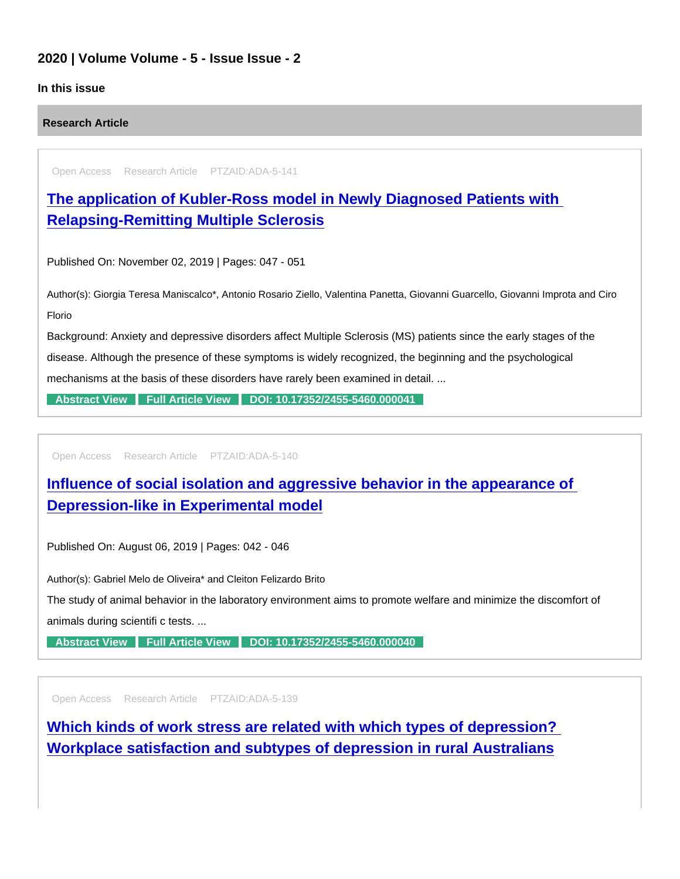## 2020 | Volume Volume - 5 - Issue Issue - 2

## In this issue

Research Article

Open Access Research Article PTZAID:ADA-5-141

[The application of Kubler-Ross model in Newly Diagnosed Patients with](https://www.peertechzpublications.com/articles/the-application-of-kubler-ross-model-in-newly-diagnosed-patients-with-relapsing-remitting-multiple-sclerosis)  Relapsing-Remitting Multiple Sclerosis

Published On: November 02, 2019 | Pages: 047 - 051

Author(s): Giorgia Teresa Maniscalco\*, Antonio Rosario Ziello, Valentina Panetta, Giovanni Guarcello, Giovanni Improta and Ciro Florio

Background: Anxiety and depressive disorders affect Multiple Sclerosis (MS) patients since the early stages of the disease. Although the presence of these symptoms is widely recognized, the beginning and the psychological mechanisms at the basis of these disorders have rarely been examined in detail. ...

[Abstract View](https://www.peertechzpublications.com/abstracts/the-application-of-kubler-ross-model-in-newly-diagnosed-patients-with-relapsing-remitting-multiple-sclerosis) [Full Article View](https://www.peertechzpublications.com/articles/the-application-of-kubler-ross-model-in-newly-diagnosed-patients-with-relapsing-remitting-multiple-sclerosis) [DOI: 10.17352/2455-5460.000041](http://dx.doi.org/10.17352/2455-5460.000041)

Open Access Research Article PTZAID:ADA-5-140

[Influence of social isolation and aggressive behavior in the appearance of](https://www.peertechzpublications.com/articles/influence-of-social-isolation-and-aggressive-behavior-in-the-appearance-of-depression-like-in-experimental-model)  Depression-like in Experimental model

Published On: August 06, 2019 | Pages: 042 - 046

Author(s): Gabriel Melo de Oliveira\* and Cleiton Felizardo Brito

The study of animal behavior in the laboratory environment aims to promote welfare and minimize the discomfort of animals during scientifi c tests. ...

[Abstract View](https://www.peertechzpublications.com/abstracts/influence-of-social-isolation-and-aggressive-behavior-in-the-appearance-of-depression-like-in-experimental-model) [Full Article View](https://www.peertechzpublications.com/articles/influence-of-social-isolation-and-aggressive-behavior-in-the-appearance-of-depression-like-in-experimental-model) [DOI: 10.17352/2455-5460.000040](http://dx.doi.org/10.17352/2455-5460.000040)

Open Access Research Article PTZAID:ADA-5-139

[Which kinds of work stress are related with which types of depression?](https://www.peertechzpublications.com/articles/which-kinds-of-work-stress-are-related-with-which-types-of-depression-workplace-satisfaction-and-subtypes-of-depression-in-rural-australians)  Workplace satisfaction and subtypes of depression in rural Australians